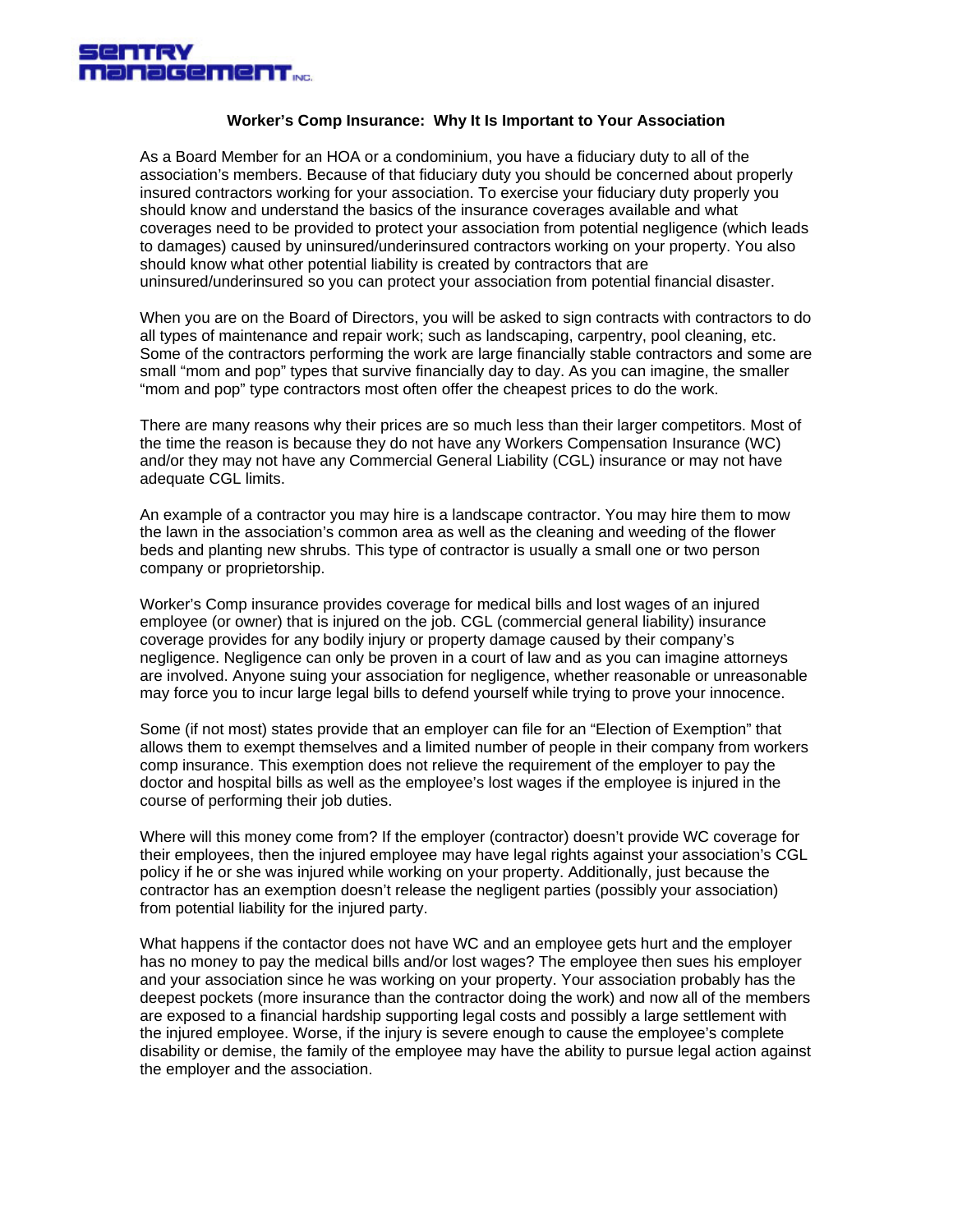

## **Worker's Comp Insurance: Why It Is Important to Your Association**

As a Board Member for an HOA or a condominium, you have a fiduciary duty to all of the association's members. Because of that fiduciary duty you should be concerned about properly insured contractors working for your association. To exercise your fiduciary duty properly you should know and understand the basics of the insurance coverages available and what coverages need to be provided to protect your association from potential negligence (which leads to damages) caused by uninsured/underinsured contractors working on your property. You also should know what other potential liability is created by contractors that are uninsured/underinsured so you can protect your association from potential financial disaster.

When you are on the Board of Directors, you will be asked to sign contracts with contractors to do all types of maintenance and repair work; such as landscaping, carpentry, pool cleaning, etc. Some of the contractors performing the work are large financially stable contractors and some are small "mom and pop" types that survive financially day to day. As you can imagine, the smaller "mom and pop" type contractors most often offer the cheapest prices to do the work.

There are many reasons why their prices are so much less than their larger competitors. Most of the time the reason is because they do not have any Workers Compensation Insurance (WC) and/or they may not have any Commercial General Liability (CGL) insurance or may not have adequate CGL limits.

An example of a contractor you may hire is a landscape contractor. You may hire them to mow the lawn in the association's common area as well as the cleaning and weeding of the flower beds and planting new shrubs. This type of contractor is usually a small one or two person company or proprietorship.

Worker's Comp insurance provides coverage for medical bills and lost wages of an injured employee (or owner) that is injured on the job. CGL (commercial general liability) insurance coverage provides for any bodily injury or property damage caused by their company's negligence. Negligence can only be proven in a court of law and as you can imagine attorneys are involved. Anyone suing your association for negligence, whether reasonable or unreasonable may force you to incur large legal bills to defend yourself while trying to prove your innocence.

Some (if not most) states provide that an employer can file for an "Election of Exemption" that allows them to exempt themselves and a limited number of people in their company from workers comp insurance. This exemption does not relieve the requirement of the employer to pay the doctor and hospital bills as well as the employee's lost wages if the employee is injured in the course of performing their job duties.

Where will this money come from? If the employer (contractor) doesn't provide WC coverage for their employees, then the injured employee may have legal rights against your association's CGL policy if he or she was injured while working on your property. Additionally, just because the contractor has an exemption doesn't release the negligent parties (possibly your association) from potential liability for the injured party.

What happens if the contactor does not have WC and an employee gets hurt and the employer has no money to pay the medical bills and/or lost wages? The employee then sues his employer and your association since he was working on your property. Your association probably has the deepest pockets (more insurance than the contractor doing the work) and now all of the members are exposed to a financial hardship supporting legal costs and possibly a large settlement with the injured employee. Worse, if the injury is severe enough to cause the employee's complete disability or demise, the family of the employee may have the ability to pursue legal action against the employer and the association.